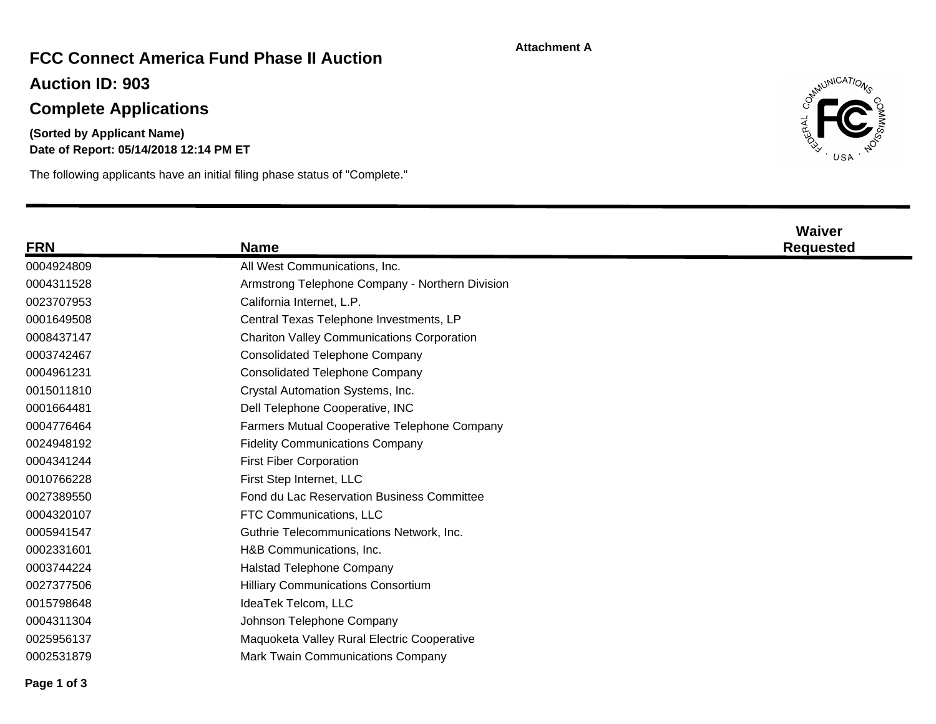#### **Attachment A**

## **FCC Connect America Fund Phase II Auction**

**Auction ID: 903**

# **Complete Applications**

**Date of Report: 05/14/2018 12:14 PM ET (Sorted by Applicant Name)**

The following applicants have an initial filing phase status of "Complete."



| <b>FRN</b> | <b>Name</b>                                       | <b>Waiver</b><br><b>Requested</b> |
|------------|---------------------------------------------------|-----------------------------------|
| 0004924809 | All West Communications, Inc.                     |                                   |
| 0004311528 | Armstrong Telephone Company - Northern Division   |                                   |
| 0023707953 | California Internet, L.P.                         |                                   |
| 0001649508 | Central Texas Telephone Investments, LP           |                                   |
| 0008437147 | <b>Chariton Valley Communications Corporation</b> |                                   |
| 0003742467 | <b>Consolidated Telephone Company</b>             |                                   |
| 0004961231 | <b>Consolidated Telephone Company</b>             |                                   |
| 0015011810 | Crystal Automation Systems, Inc.                  |                                   |
| 0001664481 | Dell Telephone Cooperative, INC                   |                                   |
| 0004776464 | Farmers Mutual Cooperative Telephone Company      |                                   |
| 0024948192 | <b>Fidelity Communications Company</b>            |                                   |
| 0004341244 | <b>First Fiber Corporation</b>                    |                                   |
| 0010766228 | First Step Internet, LLC                          |                                   |
| 0027389550 | Fond du Lac Reservation Business Committee        |                                   |
| 0004320107 | FTC Communications, LLC                           |                                   |
| 0005941547 | Guthrie Telecommunications Network, Inc.          |                                   |
| 0002331601 | H&B Communications, Inc.                          |                                   |
| 0003744224 | <b>Halstad Telephone Company</b>                  |                                   |
| 0027377506 | <b>Hilliary Communications Consortium</b>         |                                   |
| 0015798648 | IdeaTek Telcom, LLC                               |                                   |
| 0004311304 | Johnson Telephone Company                         |                                   |
| 0025956137 | Maquoketa Valley Rural Electric Cooperative       |                                   |
| 0002531879 | Mark Twain Communications Company                 |                                   |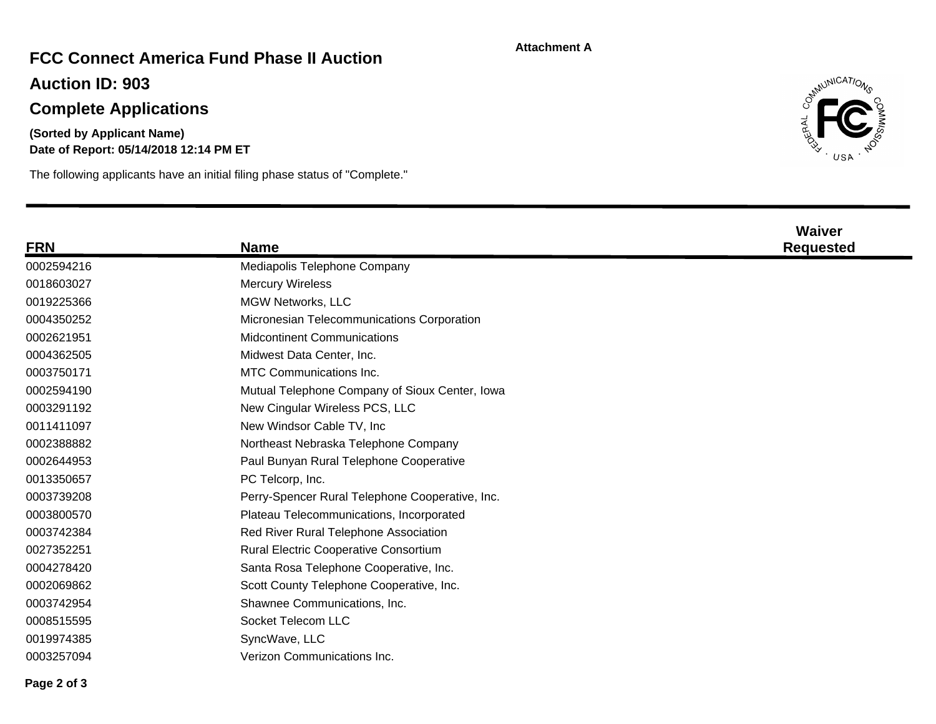#### **Attachment A**

## **FCC Connect America Fund Phase II Auction**

**Auction ID: 903**

# **Complete Applications**

### **Date of Report: 05/14/2018 12:14 PM ET (Sorted by Applicant Name)**

The following applicants have an initial filing phase status of "Complete."



| <b>FRN</b> | <b>Name</b>                                     | <b>Waiver</b><br><b>Requested</b> |
|------------|-------------------------------------------------|-----------------------------------|
| 0002594216 | Mediapolis Telephone Company                    |                                   |
| 0018603027 | <b>Mercury Wireless</b>                         |                                   |
| 0019225366 | MGW Networks, LLC                               |                                   |
| 0004350252 | Micronesian Telecommunications Corporation      |                                   |
| 0002621951 | <b>Midcontinent Communications</b>              |                                   |
| 0004362505 | Midwest Data Center, Inc.                       |                                   |
| 0003750171 | <b>MTC Communications Inc.</b>                  |                                   |
| 0002594190 | Mutual Telephone Company of Sioux Center, Iowa  |                                   |
| 0003291192 | New Cingular Wireless PCS, LLC                  |                                   |
| 0011411097 | New Windsor Cable TV, Inc.                      |                                   |
| 0002388882 | Northeast Nebraska Telephone Company            |                                   |
| 0002644953 | Paul Bunyan Rural Telephone Cooperative         |                                   |
| 0013350657 | PC Telcorp, Inc.                                |                                   |
| 0003739208 | Perry-Spencer Rural Telephone Cooperative, Inc. |                                   |
| 0003800570 | Plateau Telecommunications, Incorporated        |                                   |
| 0003742384 | Red River Rural Telephone Association           |                                   |
| 0027352251 | <b>Rural Electric Cooperative Consortium</b>    |                                   |
| 0004278420 | Santa Rosa Telephone Cooperative, Inc.          |                                   |
| 0002069862 | Scott County Telephone Cooperative, Inc.        |                                   |
| 0003742954 | Shawnee Communications, Inc.                    |                                   |
| 0008515595 | Socket Telecom LLC                              |                                   |
| 0019974385 | SyncWave, LLC                                   |                                   |
| 0003257094 | Verizon Communications Inc.                     |                                   |